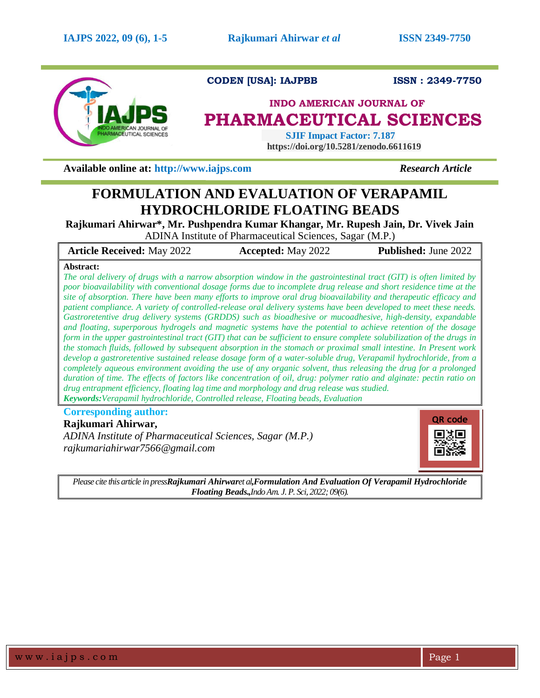

**CODEN [USA]: IAJPBB ISSN : 2349-7750** 

# **INDO AMERICAN JOURNAL OF PHARMACEUTICAL SCIENCES**

 **SJIF Impact Factor: 7.187 https://doi.org/10.5281/zenodo.6611619**

**Available online at: [http://www.iajps.com](http://www.iajps.com/)** *Research Article*

# **FORMULATION AND EVALUATION OF VERAPAMIL HYDROCHLORIDE FLOATING BEADS**

**Rajkumari Ahirwar\*, Mr. Pushpendra Kumar Khangar, Mr. Rupesh Jain, Dr. Vivek Jain** ADINA Institute of Pharmaceutical Sciences, Sagar (M.P.)

**Article Received:** May 2022 **Accepted:** May 2022 **Published:** June 2022

## **Abstract:**

*The oral delivery of drugs with a narrow absorption window in the gastrointestinal tract (GIT) is often limited by poor bioavailability with conventional dosage forms due to incomplete drug release and short residence time at the site of absorption. There have been many efforts to improve oral drug bioavailability and therapeutic efficacy and patient compliance. A variety of controlled-release oral delivery systems have been developed to meet these needs. Gastroretentive drug delivery systems (GRDDS) such as bioadhesive or mucoadhesive, high-density, expandable and floating, superporous hydrogels and magnetic systems have the potential to achieve retention of the dosage form in the upper gastrointestinal tract (GIT) that can be sufficient to ensure complete solubilization of the drugs in the stomach fluids, followed by subsequent absorption in the stomach or proximal small intestine. In Present work develop a gastroretentive sustained release dosage form of a water-soluble drug, Verapamil hydrochloride, from a completely aqueous environment avoiding the use of any organic solvent, thus releasing the drug for a prolonged duration of time. The effects of factors like concentration of oil, drug: polymer ratio and alginate: pectin ratio on drug entrapment efficiency, floating lag time and morphology and drug release was studied. Keywords:Verapamil hydrochloride, Controlled release, Floating beads, Evaluation*

# **Corresponding author:**

**Rajkumari Ahirwar,**

*ADINA Institute of Pharmaceutical Sciences, Sagar (M.P.) rajkumariahirwar7566@gmail.com*



*Please cite this article in pressRajkumari Ahirwaret al,Formulation And Evaluation Of Verapamil Hydrochloride Floating Beads.,Indo Am. J. P. Sci, 2022; 09(6).*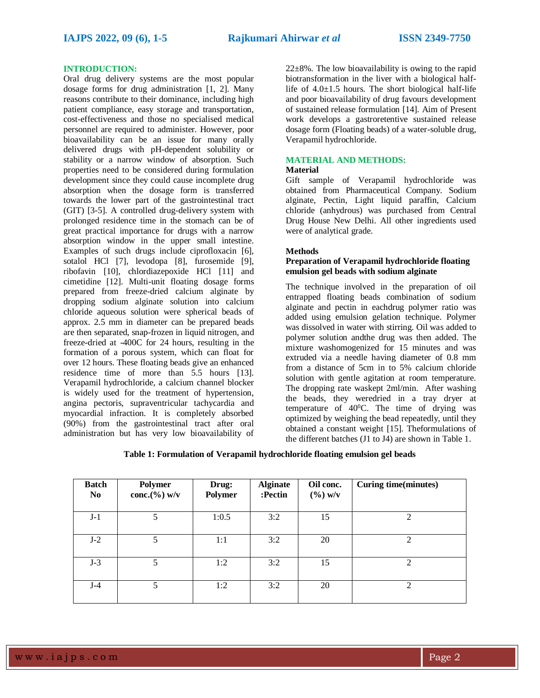#### **INTRODUCTION:**

Oral drug delivery systems are the most popular dosage forms for drug administration [1, 2]. Many reasons contribute to their dominance, including high patient compliance, easy storage and transportation, cost-effectiveness and those no specialised medical personnel are required to administer. However, poor bioavailability can be an issue for many orally delivered drugs with pH-dependent solubility or stability or a narrow window of absorption. Such properties need to be considered during formulation development since they could cause incomplete drug absorption when the dosage form is transferred towards the lower part of the gastrointestinal tract (GIT) [3-5]. A controlled drug-delivery system with prolonged residence time in the stomach can be of great practical importance for drugs with a narrow absorption window in the upper small intestine. Examples of such drugs include ciprofloxacin [6], sotalol HCl [7], levodopa [8], furosemide [9], ribofavin [10], chlordiazepoxide HCl [11] and cimetidine [12]. Multi-unit floating dosage forms prepared from freeze-dried calcium alginate by dropping sodium alginate solution into calcium chloride aqueous solution were spherical beads of approx. 2.5 mm in diameter can be prepared beads are then separated, snap-frozen in liquid nitrogen, and freeze-dried at -400C for 24 hours, resulting in the formation of a porous system, which can float for over 12 hours. These floating beads give an enhanced residence time of more than 5.5 hours [13]. Verapamil hydrochloride, a calcium channel blocker is widely used for the treatment of hypertension, angina pectoris, supraventricular tachycardia and myocardial infraction. It is completely absorbed (90%) from the gastrointestinal tract after oral administration but has very low bioavailability of

 $22\pm8\%$ . The low bioavailability is owing to the rapid biotransformation in the liver with a biological halflife of  $4.0 \pm 1.5$  hours. The short biological half-life and poor bioavailability of drug favours development of sustained release formulation [14]. Aim of Present work develops a gastroretentive sustained release dosage form (Floating beads) of a water-soluble drug, Verapamil hydrochloride.

# **MATERIAL AND METHODS:**

## **Material**

Gift sample of Verapamil hydrochloride was obtained from Pharmaceutical Company. Sodium alginate, Pectin, Light liquid paraffin, Calcium chloride (anhydrous) was purchased from Central Drug House New Delhi. All other ingredients used were of analytical grade.

#### **Methods**

## **Preparation of Verapamil hydrochloride floating emulsion gel beads with sodium alginate**

The technique involved in the preparation of oil entrapped floating beads combination of sodium alginate and pectin in eachdrug polymer ratio was added using emulsion gelation technique. Polymer was dissolved in water with stirring. Oil was added to polymer solution andthe drug was then added. The mixture washomogenized for 15 minutes and was extruded via a needle having diameter of 0.8 mm from a distance of 5cm in to 5% calcium chloride solution with gentle agitation at room temperature. The dropping rate waskept 2ml/min. After washing the beads, they weredried in a tray dryer at temperature of  $40^{\circ}$ C. The time of drying was optimized by weighing the bead repeatedly, until they obtained a constant weight [15]. Theformulations of the different batches (J1 to J4) are shown in Table 1.

**Table 1: Formulation of Verapamil hydrochloride floating emulsion gel beads**

| <b>Batch</b><br>N <sub>0</sub> | Polymer<br>conc. $(\%)$ w/v | Drug:<br>Polymer | <b>Alginate</b><br>:Pectin | Oil conc.<br>$(\frac{6}{9})$ w/v | <b>Curing time(minutes)</b> |
|--------------------------------|-----------------------------|------------------|----------------------------|----------------------------------|-----------------------------|
| $J-1$                          | 5                           | 1:0.5            | 3:2                        | 15                               | 2                           |
| $J-2$                          | 5                           | 1:1              | 3:2                        | 20                               | 2                           |
| $J-3$                          | 5                           | 1:2              | 3:2                        | 15                               | 2                           |
| $J-4$                          | 5                           | 1:2              | 3:2                        | 20                               | 2                           |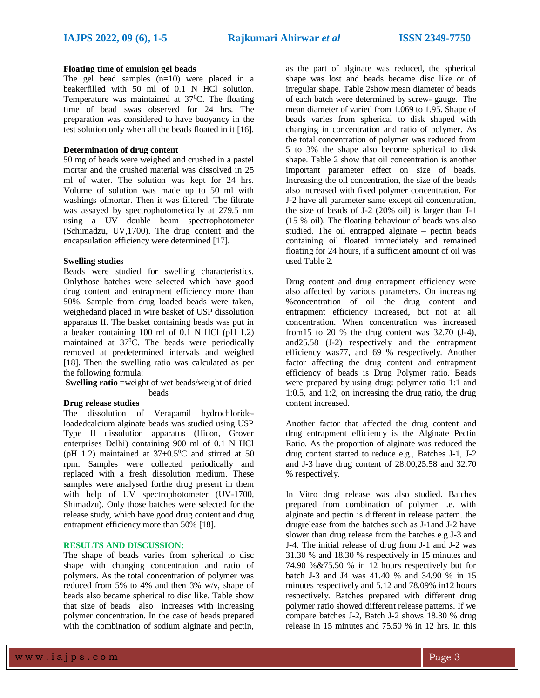## **Floating time of emulsion gel beads**

The gel bead samples  $(n=10)$  were placed in a beakerfilled with 50 ml of 0.1 N HCl solution. Temperature was maintained at  $37^{\circ}$ C. The floating time of bead swas observed for 24 hrs. The preparation was considered to have buoyancy in the test solution only when all the beads floated in it [16].

#### **Determination of drug content**

50 mg of beads were weighed and crushed in a pastel mortar and the crushed material was dissolved in 25 ml of water. The solution was kept for 24 hrs. Volume of solution was made up to 50 ml with washings ofmortar. Then it was filtered. The filtrate was assayed by spectrophotometically at 279.5 nm using a UV double beam spectrophotometer (Schimadzu, UV,1700). The drug content and the encapsulation efficiency were determined [17].

# **Swelling studies**

Beads were studied for swelling characteristics. Onlythose batches were selected which have good drug content and entrapment efficiency more than 50%. Sample from drug loaded beads were taken, weighedand placed in wire basket of USP dissolution apparatus II. The basket containing beads was put in a beaker containing 100 ml of 0.1 N HCl (pH 1.2) maintained at 37<sup>0</sup>C. The beads were periodically removed at predetermined intervals and weighed [18]. Then the swelling ratio was calculated as per the following formula:

**Swelling ratio** =weight of wet beads/weight of dried beads

# **Drug release studies**

The dissolution of Verapamil hydrochlorideloadedcalcium alginate beads was studied using USP Type II dissolution apparatus (Hicon, Grover enterprises Delhi) containing 900 ml of 0.1 N HCl (pH 1.2) maintained at  $37\pm0.5^{\circ}$ C and stirred at 50 rpm. Samples were collected periodically and replaced with a fresh dissolution medium. These samples were analysed forthe drug present in them with help of UV spectrophotometer (UV-1700, Shimadzu). Only those batches were selected for the release study, which have good drug content and drug entrapment efficiency more than 50% [18].

#### **RESULTS AND DISCUSSION:**

The shape of beads varies from spherical to disc shape with changing concentration and ratio of polymers. As the total concentration of polymer was reduced from 5% to 4% and then 3% w/v, shape of beads also became spherical to disc like. Table show that size of beads also increases with increasing polymer concentration. In the case of beads prepared with the combination of sodium alginate and pectin,

as the part of alginate was reduced, the spherical shape was lost and beads became disc like or of irregular shape. Table 2show mean diameter of beads of each batch were determined by screw- gauge. The mean diameter of varied from 1.069 to 1.95. Shape of beads varies from spherical to disk shaped with changing in concentration and ratio of polymer. As the total concentration of polymer was reduced from 5 to 3% the shape also become spherical to disk shape. Table 2 show that oil concentration is another important parameter effect on size of beads. Increasing the oil concentration, the size of the beads also increased with fixed polymer concentration. For J-2 have all parameter same except oil concentration, the size of beads of J-2 (20% oil) is larger than J-1 (15 % oil). The floating behaviour of beads was also studied. The oil entrapped alginate – pectin beads containing oil floated immediately and remained floating for 24 hours, if a sufficient amount of oil was used Table 2.

Drug content and drug entrapment efficiency were also affected by various parameters. On increasing %concentration of oil the drug content and entrapment efficiency increased, but not at all concentration. When concentration was increased from 15 to 20 % the drug content was  $32.70$  (J-4), and25.58 (J-2) respectively and the entrapment efficiency was77, and 69 % respectively. Another factor affecting the drug content and entrapment efficiency of beads is Drug Polymer ratio. Beads were prepared by using drug: polymer ratio 1:1 and 1:0.5, and 1:2, on increasing the drug ratio, the drug content increased.

Another factor that affected the drug content and drug entrapment efficiency is the Alginate Pectin Ratio. As the proportion of alginate was reduced the drug content started to reduce e.g., Batches J-1, J-2 and J-3 have drug content of 28.00,25.58 and 32.70 % respectively.

In Vitro drug release was also studied. Batches prepared from combination of polymer i.e. with alginate and pectin is different in release pattern. the drugrelease from the batches such as J-1and J-2 have slower than drug release from the batches e.g.J-3 and J-4. The initial release of drug from J-1 and J-2 was 31.30 % and 18.30 % respectively in 15 minutes and 74.90 %&75.50 % in 12 hours respectively but for batch J-3 and J4 was 41.40 % and 34.90 % in 15 minutes respectively and 5.12 and 78.09% in12 hours respectively. Batches prepared with different drug polymer ratio showed different release patterns. If we compare batches J-2, Batch J-2 shows 18.30 % drug release in 15 minutes and 75.50 % in 12 hrs. In this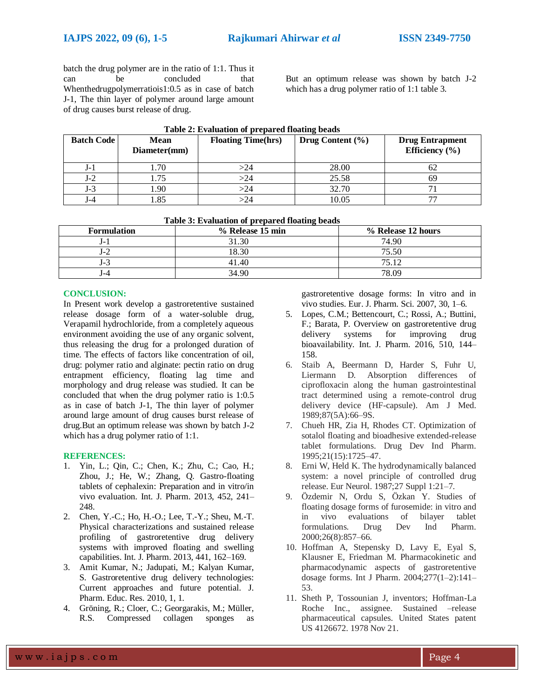batch the drug polymer are in the ratio of 1:1. Thus it can be concluded that Whenthedrugpolymerratiois1:0.5 as in case of batch J-1, The thin layer of polymer around large amount of drug causes burst release of drug.

But an optimum release was shown by batch J-2 which has a drug polymer ratio of 1:1 table 3.

| <b>Batch Code</b> | <b>Mean</b><br>Diameter(mm) | <b>Floating Time(hrs)</b> | Drug Content $(\% )$ | <b>Drug Entrapment</b><br>Efficiency $(\% )$ |
|-------------------|-----------------------------|---------------------------|----------------------|----------------------------------------------|
| J-1               |                             | >24                       | 28.00                | ΩZ                                           |
| J-2               |                             | $>\!\!24$                 | 25.58                | hЧ                                           |
| J-3               | .90                         | $>\!\!24$                 | 32.70                |                                              |
| J – 4             | $\circ$                     | >24                       | 10.05                |                                              |

#### **Table 2: Evaluation of prepared floating beads**

| Table 3: Evaluation of prepared floating beads |  |  |  |  |  |  |  |
|------------------------------------------------|--|--|--|--|--|--|--|
|------------------------------------------------|--|--|--|--|--|--|--|

| <b>Formulation</b> | % Release 15 min | % Release 12 hours |
|--------------------|------------------|--------------------|
| J – I              | 31.30            | 74.90              |
| J-Z                | 18.30            | 75.50              |
| J-3                | 41.40            | 75.12              |
| l –4               | 34.90            | 78.09              |

#### **CONCLUSION:**

In Present work develop a gastroretentive sustained release dosage form of a water-soluble drug, Verapamil hydrochloride, from a completely aqueous environment avoiding the use of any organic solvent, thus releasing the drug for a prolonged duration of time. The effects of factors like concentration of oil, drug: polymer ratio and alginate: pectin ratio on drug entrapment efficiency, floating lag time and morphology and drug release was studied. It can be concluded that when the drug polymer ratio is 1:0.5 as in case of batch J-1, The thin layer of polymer around large amount of drug causes burst release of drug.But an optimum release was shown by batch J-2 which has a drug polymer ratio of 1:1.

### **REFERENCES:**

- 1. Yin, L.; Qin, C.; Chen, K.; Zhu, C.; Cao, H.; Zhou, J.; He, W.; Zhang, Q. Gastro-floating tablets of cephalexin: Preparation and in vitro/in vivo evaluation. Int. J. Pharm. 2013, 452, 241– 248.
- 2. Chen, Y.-C.; Ho, H.-O.; Lee, T.-Y.; Sheu, M.-T. Physical characterizations and sustained release profiling of gastroretentive drug delivery systems with improved floating and swelling capabilities. Int. J. Pharm. 2013, 441, 162–169.
- 3. Amit Kumar, N.; Jadupati, M.; Kalyan Kumar, S. Gastroretentive drug delivery technologies: Current approaches and future potential. J. Pharm. Educ. Res. 2010, 1, 1.
- 4. Gröning, R.; Cloer, C.; Georgarakis, M.; Müller, R.S. Compressed collagen sponges as

gastroretentive dosage forms: In vitro and in vivo studies. Eur. J. Pharm. Sci. 2007, 30, 1–6.

- 5. Lopes, C.M.; Bettencourt, C.; Rossi, A.; Buttini, F.; Barata, P. Overview on gastroretentive drug delivery systems for improving drug bioavailability. Int. J. Pharm. 2016, 510, 144– 158.
- 6. Staib A, Beermann D, Harder S, Fuhr U, Liermann D. Absorption differences of ciprofloxacin along the human gastrointestinal tract determined using a remote-control drug delivery device (HF-capsule). Am J Med. 1989;87(5A):66–9S.
- 7. Chueh HR, Zia H, Rhodes CT. Optimization of sotalol floating and bioadhesive extended-release tablet formulations. Drug Dev Ind Pharm. 1995;21(15):1725–47.
- 8. Erni W, Held K. The hydrodynamically balanced system: a novel principle of controlled drug release. Eur Neurol. 1987;27 Suppl 1:21–7.
- 9. Özdemir N, Ordu S, Özkan Y. Studies of floating dosage forms of furosemide: in vitro and in vivo evaluations of bilayer tablet formulations. Drug Dev Ind Pharm. 2000;26(8):857–66.
- 10. Hoffman A, Stepensky D, Lavy E, Eyal S, Klausner E, Friedman M. Pharmacokinetic and pharmacodynamic aspects of gastroretentive dosage forms. Int J Pharm. 2004;277(1–2):141– 53.
- 11. Sheth P, Tossounian J, inventors; Hoffman-La Roche Inc., assignee. Sustained –release pharmaceutical capsules. United States patent US 4126672. 1978 Nov 21.